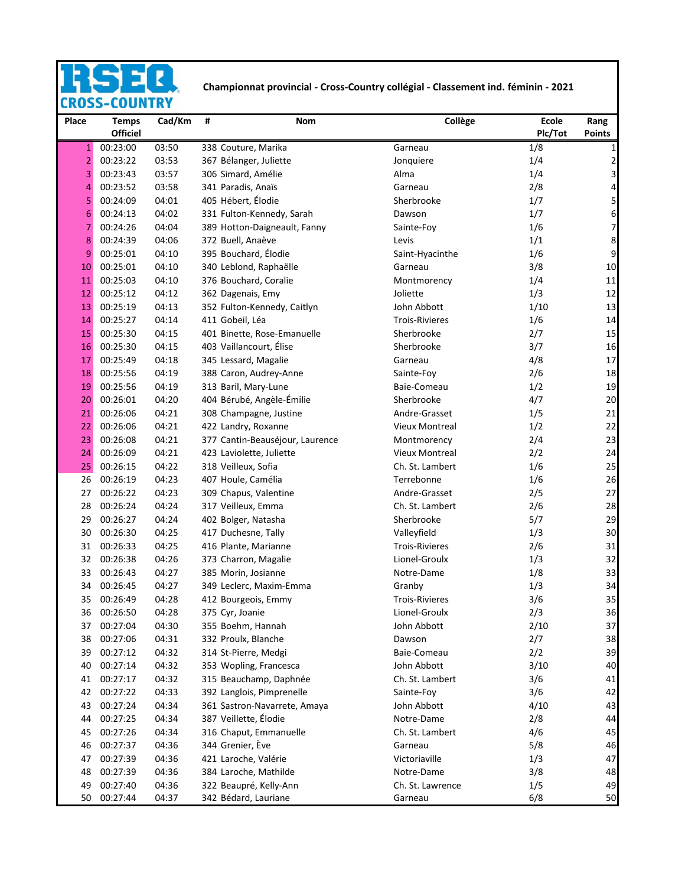## **Championnat provincial - Cross-Country collégial - Classement ind. féminin - 2021**<br>CROSS-COUNTRY Ę.

| Place          | <b>Temps</b><br><b>Officiel</b> | Cad/Km | Ħ | Nom                             | Collège               | <b>Ecole</b><br>Plc/Tot | Rang<br><b>Points</b>   |
|----------------|---------------------------------|--------|---|---------------------------------|-----------------------|-------------------------|-------------------------|
| $\mathbf{1}$   | 00:23:00                        | 03:50  |   | 338 Couture, Marika             | Garneau               | 1/8                     | 1                       |
| $\overline{2}$ | 00:23:22                        | 03:53  |   | 367 Bélanger, Juliette          | Jonquiere             | 1/4                     | $\overline{\mathbf{c}}$ |
| 3              | 00:23:43                        | 03:57  |   | 306 Simard, Amélie              | Alma                  | 1/4                     | 3                       |
| 4              | 00:23:52                        | 03:58  |   | 341 Paradis, Anaïs              | Garneau               | 2/8                     | 4                       |
| 5              | 00:24:09                        | 04:01  |   | 405 Hébert, Élodie              | Sherbrooke            | 1/7                     | 5                       |
| 6              | 00:24:13                        | 04:02  |   | 331 Fulton-Kennedy, Sarah       | Dawson                | 1/7                     | 6                       |
| 7              | 00:24:26                        | 04:04  |   | 389 Hotton-Daigneault, Fanny    | Sainte-Foy            | 1/6                     | 7                       |
| 8              | 00:24:39                        | 04:06  |   | 372 Buell, Anaève               | Levis                 | 1/1                     | 8                       |
| 9              | 00:25:01                        | 04:10  |   | 395 Bouchard, Élodie            | Saint-Hyacinthe       | 1/6                     | 9                       |
| 10             | 00:25:01                        | 04:10  |   | 340 Leblond, Raphaëlle          | Garneau               | 3/8                     | 10                      |
| 11             | 00:25:03                        | 04:10  |   | 376 Bouchard, Coralie           | Montmorency           | 1/4                     | 11                      |
| 12             | 00:25:12                        | 04:12  |   | 362 Dagenais, Emy               | Joliette              | 1/3                     | 12                      |
| 13             | 00:25:19                        | 04:13  |   | 352 Fulton-Kennedy, Caitlyn     | John Abbott           | 1/10                    | 13                      |
| 14             | 00:25:27                        | 04:14  |   | 411 Gobeil, Léa                 | <b>Trois-Rivieres</b> | 1/6                     | 14                      |
| 15             | 00:25:30                        | 04:15  |   | 401 Binette, Rose-Emanuelle     | Sherbrooke            | 2/7                     | 15                      |
| 16             | 00:25:30                        | 04:15  |   | 403 Vaillancourt, Élise         | Sherbrooke            | 3/7                     | 16                      |
| 17             | 00:25:49                        | 04:18  |   | 345 Lessard, Magalie            | Garneau               | 4/8                     | 17                      |
| 18             | 00:25:56                        | 04:19  |   | 388 Caron, Audrey-Anne          | Sainte-Foy            | 2/6                     | 18                      |
| 19             | 00:25:56                        | 04:19  |   | 313 Baril, Mary-Lune            | Baie-Comeau           | 1/2                     | 19                      |
| 20             | 00:26:01                        | 04:20  |   | 404 Bérubé, Angèle-Émilie       | Sherbrooke            | 4/7                     | 20                      |
| 21             | 00:26:06                        | 04:21  |   | 308 Champagne, Justine          | Andre-Grasset         | 1/5                     | 21                      |
| 22             | 00:26:06                        | 04:21  |   | 422 Landry, Roxanne             | <b>Vieux Montreal</b> | 1/2                     | 22                      |
| 23             | 00:26:08                        | 04:21  |   | 377 Cantin-Beauséjour, Laurence | Montmorency           | 2/4                     | 23                      |
| 24             | 00:26:09                        | 04:21  |   | 423 Laviolette, Juliette        | <b>Vieux Montreal</b> | 2/2                     | 24                      |
| 25             | 00:26:15                        | 04:22  |   | 318 Veilleux, Sofia             | Ch. St. Lambert       | 1/6                     | 25                      |
| 26             | 00:26:19                        | 04:23  |   | 407 Houle, Camélia              | Terrebonne            | 1/6                     | 26                      |
| 27             | 00:26:22                        | 04:23  |   | 309 Chapus, Valentine           | Andre-Grasset         | 2/5                     | 27                      |
| 28             | 00:26:24                        | 04:24  |   | 317 Veilleux, Emma              | Ch. St. Lambert       | 2/6                     | 28                      |
| 29             | 00:26:27                        | 04:24  |   | 402 Bolger, Natasha             | Sherbrooke            | 5/7                     | 29                      |
| 30             | 00:26:30                        | 04:25  |   | 417 Duchesne, Tally             | Valleyfield           | 1/3                     | 30                      |
| 31             | 00:26:33                        | 04:25  |   | 416 Plante, Marianne            | <b>Trois-Rivieres</b> | 2/6                     | 31                      |
| 32             | 00:26:38                        | 04:26  |   | 373 Charron, Magalie            | Lionel-Groulx         | 1/3                     | 32                      |
| 33             | 00:26:43                        | 04:27  |   | 385 Morin, Josianne             | Notre-Dame            | 1/8                     | 33                      |
| 34             | 00:26:45                        | 04:27  |   | 349 Leclerc, Maxim-Emma         | Granby                | 1/3                     | 34                      |
| 35             | 00:26:49                        | 04:28  |   | 412 Bourgeois, Emmy             | <b>Trois-Rivieres</b> | 3/6                     | 35                      |
| 36             | 00:26:50                        | 04:28  |   | 375 Cyr, Joanie                 | Lionel-Groulx         | 2/3                     | 36                      |
| 37             | 00:27:04                        | 04:30  |   | 355 Boehm, Hannah               | John Abbott           | 2/10                    | 37                      |
| 38             | 00:27:06                        | 04:31  |   | 332 Proulx, Blanche             | Dawson                | 2/7                     | 38                      |
| 39             | 00:27:12                        | 04:32  |   | 314 St-Pierre, Medgi            | Baie-Comeau           | 2/2                     | 39                      |
| 40             | 00:27:14                        | 04:32  |   | 353 Wopling, Francesca          | John Abbott           | 3/10                    | 40                      |
| 41             | 00:27:17                        | 04:32  |   | 315 Beauchamp, Daphnée          | Ch. St. Lambert       | 3/6                     | 41                      |
| 42             | 00:27:22                        | 04:33  |   | 392 Langlois, Pimprenelle       | Sainte-Foy            | 3/6                     | 42                      |
| 43             | 00:27:24                        | 04:34  |   | 361 Sastron-Navarrete, Amaya    | John Abbott           | 4/10                    | 43                      |
| 44             | 00:27:25                        | 04:34  |   | 387 Veillette, Élodie           | Notre-Dame            | 2/8                     | 44                      |
| 45             | 00:27:26                        | 04:34  |   | 316 Chaput, Emmanuelle          | Ch. St. Lambert       | 4/6                     | 45                      |
| 46             | 00:27:37                        | 04:36  |   | 344 Grenier, Ève                | Garneau               | 5/8                     | 46                      |
| 47             | 00:27:39                        | 04:36  |   | 421 Laroche, Valérie            | Victoriaville         | 1/3                     | 47                      |
| 48             | 00:27:39                        | 04:36  |   | 384 Laroche, Mathilde           | Notre-Dame            | 3/8                     | 48                      |
| 49             | 00:27:40                        | 04:36  |   | 322 Beaupré, Kelly-Ann          | Ch. St. Lawrence      | 1/5                     | 49                      |
| 50             | 00:27:44                        | 04:37  |   | 342 Bédard, Lauriane            | Garneau               | 6/8                     | 50                      |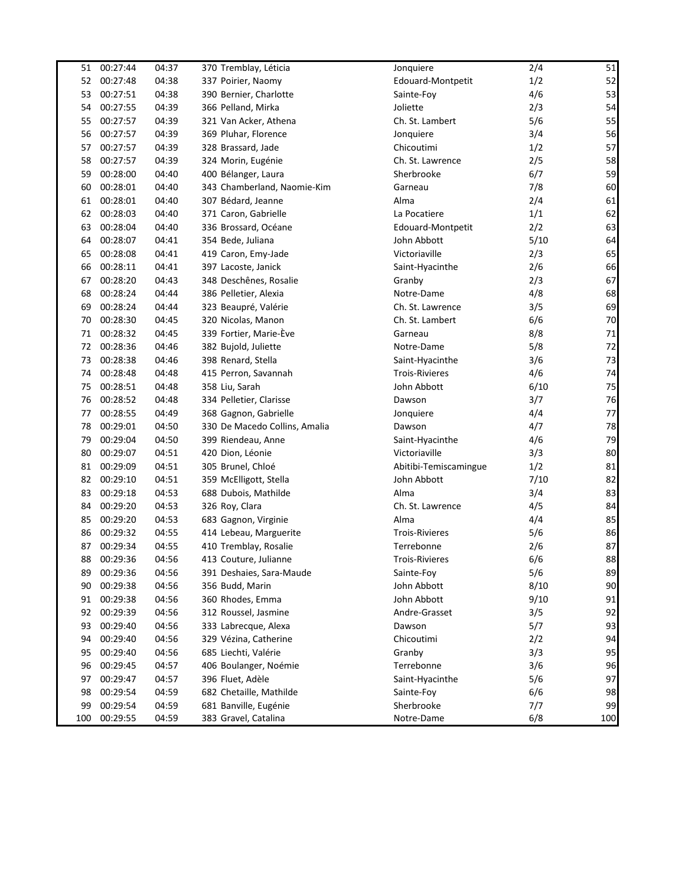| 51  | 00:27:44    | 04:37 | 370 Tremblay, Léticia         | Jonquiere             | 2/4  | 51     |
|-----|-------------|-------|-------------------------------|-----------------------|------|--------|
| 52  | 00:27:48    | 04:38 | 337 Poirier, Naomy            | Edouard-Montpetit     | 1/2  | 52     |
| 53  | 00:27:51    | 04:38 | 390 Bernier, Charlotte        | Sainte-Foy            | 4/6  | 53     |
| 54  | 00:27:55    | 04:39 | 366 Pelland, Mirka            | Joliette              | 2/3  | 54     |
| 55  | 00:27:57    | 04:39 | 321 Van Acker, Athena         | Ch. St. Lambert       | 5/6  | 55     |
| 56  | 00:27:57    | 04:39 | 369 Pluhar, Florence          | Jonquiere             | 3/4  | 56     |
| 57  | 00:27:57    | 04:39 | 328 Brassard, Jade            | Chicoutimi            | 1/2  | 57     |
| 58  | 00:27:57    | 04:39 | 324 Morin, Eugénie            | Ch. St. Lawrence      | 2/5  | 58     |
| 59  | 00:28:00    | 04:40 | 400 Bélanger, Laura           | Sherbrooke            | 6/7  | 59     |
| 60  | 00:28:01    | 04:40 | 343 Chamberland, Naomie-Kim   | Garneau               | 7/8  | 60     |
| 61  | 00:28:01    | 04:40 | 307 Bédard, Jeanne            | Alma                  | 2/4  | 61     |
| 62  | 00:28:03    | 04:40 | 371 Caron, Gabrielle          | La Pocatiere          | 1/1  | 62     |
| 63  | 00:28:04    | 04:40 | 336 Brossard, Océane          | Edouard-Montpetit     | 2/2  | 63     |
| 64  | 00:28:07    | 04:41 | 354 Bede, Juliana             | John Abbott           | 5/10 | 64     |
| 65  | 00:28:08    | 04:41 | 419 Caron, Emy-Jade           | Victoriaville         | 2/3  | 65     |
| 66  | 00:28:11    | 04:41 | 397 Lacoste, Janick           | Saint-Hyacinthe       | 2/6  | 66     |
| 67  | 00:28:20    | 04:43 | 348 Deschênes, Rosalie        | Granby                | 2/3  | 67     |
| 68  | 00:28:24    | 04:44 | 386 Pelletier, Alexia         | Notre-Dame            | 4/8  | 68     |
| 69  | 00:28:24    | 04:44 | 323 Beaupré, Valérie          | Ch. St. Lawrence      | 3/5  | 69     |
| 70  | 00:28:30    | 04:45 | 320 Nicolas, Manon            | Ch. St. Lambert       | 6/6  | 70     |
| 71  | 00:28:32    | 04:45 | 339 Fortier, Marie-Ève        | Garneau               | 8/8  | $71\,$ |
| 72  | 00:28:36    | 04:46 | 382 Bujold, Juliette          | Notre-Dame            | 5/8  | 72     |
| 73  | 00:28:38    | 04:46 | 398 Renard, Stella            | Saint-Hyacinthe       | 3/6  | 73     |
| 74  | 00:28:48    | 04:48 | 415 Perron, Savannah          | <b>Trois-Rivieres</b> | 4/6  | 74     |
| 75  | 00:28:51    | 04:48 | 358 Liu, Sarah                | John Abbott           | 6/10 | 75     |
| 76  | 00:28:52    | 04:48 | 334 Pelletier, Clarisse       | Dawson                | 3/7  | 76     |
| 77  | 00:28:55    | 04:49 | 368 Gagnon, Gabrielle         | Jonquiere             | 4/4  | 77     |
| 78  | 00:29:01    | 04:50 | 330 De Macedo Collins, Amalia | Dawson                | 4/7  | 78     |
| 79  | 00:29:04    | 04:50 | 399 Riendeau, Anne            | Saint-Hyacinthe       | 4/6  | 79     |
| 80  | 00:29:07    | 04:51 | 420 Dion, Léonie              | Victoriaville         | 3/3  | 80     |
| 81  | 00:29:09    | 04:51 | 305 Brunel, Chloé             | Abitibi-Temiscamingue | 1/2  | 81     |
| 82  | 00:29:10    | 04:51 | 359 McElligott, Stella        | John Abbott           | 7/10 | 82     |
| 83  | 00:29:18    | 04:53 | 688 Dubois, Mathilde          | Alma                  | 3/4  | 83     |
| 84  | 00:29:20    | 04:53 | 326 Roy, Clara                | Ch. St. Lawrence      | 4/5  | 84     |
| 85  | 00:29:20    | 04:53 | 683 Gagnon, Virginie          | Alma                  | 4/4  | 85     |
| 86  | 00:29:32    | 04:55 | 414 Lebeau, Marguerite        | <b>Trois-Rivieres</b> | 5/6  | 86     |
| 87  | 00:29:34    | 04:55 | 410 Tremblay, Rosalie         | Terrebonne            | 2/6  | 87     |
|     | 88 00:29:36 | 04:56 | 413 Couture, Julianne         | <b>Trois-Rivieres</b> | 6/6  | 88     |
| 89  | 00:29:36    | 04:56 | 391 Deshaies, Sara-Maude      | Sainte-Foy            | 5/6  | 89     |
| 90  | 00:29:38    | 04:56 | 356 Budd, Marin               | John Abbott           | 8/10 | 90     |
| 91  | 00:29:38    | 04:56 | 360 Rhodes, Emma              | John Abbott           | 9/10 | 91     |
| 92  | 00:29:39    | 04:56 | 312 Roussel, Jasmine          | Andre-Grasset         | 3/5  | 92     |
| 93  | 00:29:40    | 04:56 | 333 Labrecque, Alexa          | Dawson                | 5/7  | 93     |
| 94  | 00:29:40    | 04:56 | 329 Vézina, Catherine         | Chicoutimi            | 2/2  | 94     |
| 95  | 00:29:40    | 04:56 | 685 Liechti, Valérie          | Granby                | 3/3  | 95     |
| 96  | 00:29:45    | 04:57 | 406 Boulanger, Noémie         | Terrebonne            | 3/6  | 96     |
| 97  | 00:29:47    | 04:57 | 396 Fluet, Adèle              | Saint-Hyacinthe       | 5/6  | 97     |
| 98  | 00:29:54    | 04:59 | 682 Chetaille, Mathilde       | Sainte-Foy            | 6/6  | 98     |
| 99  | 00:29:54    | 04:59 | 681 Banville, Eugénie         | Sherbrooke            | 7/7  | 99     |
| 100 | 00:29:55    | 04:59 | 383 Gravel, Catalina          | Notre-Dame            | 6/8  | 100    |